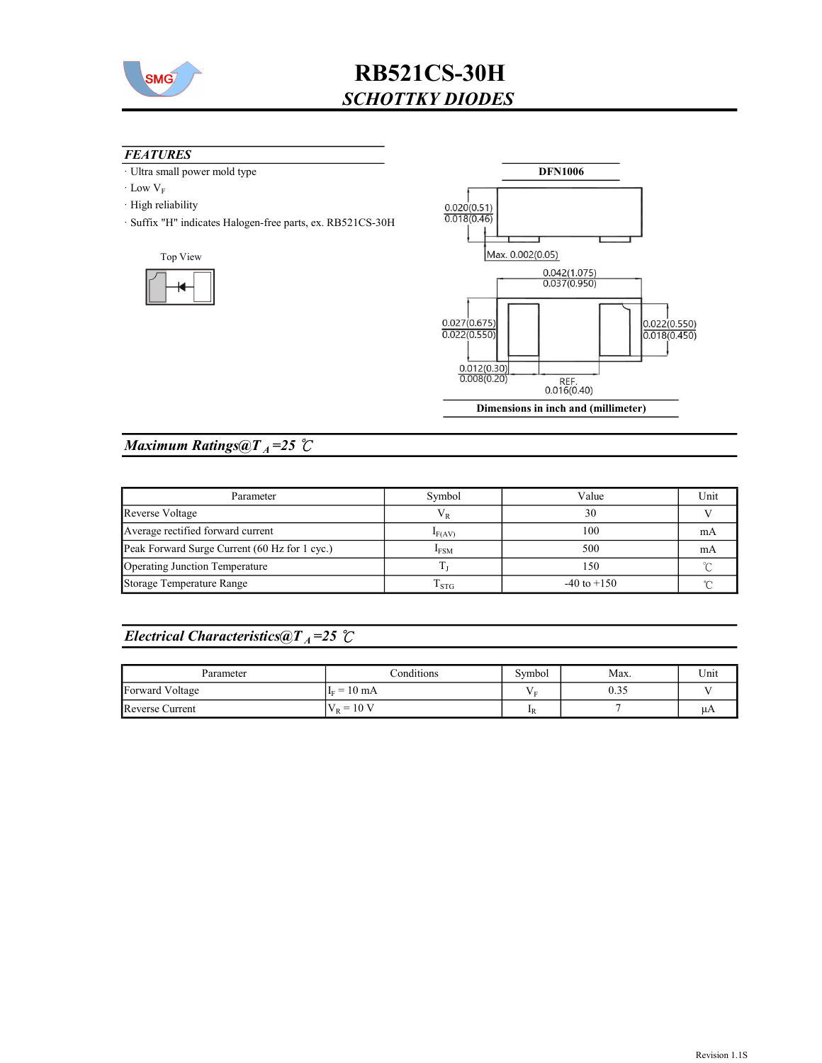

#### **FEATURES**

- · Ultra small power mold type
- $\cdot$  Low  $V_F$
- · High reliability
- · Suffix "H" indicates Halogen-free parts, ex. RB521CS-30H





## Maximum Ratings@ $T_A = 25$  °C

| Parameter                                     | Symbol      | Value           | Unit |
|-----------------------------------------------|-------------|-----------------|------|
| Reverse Voltage                               | $V_{R}$     | 30              |      |
| Average rectified forward current             | $I_{F(AV)}$ | 100             | mA   |
| Peak Forward Surge Current (60 Hz for 1 cyc.) | <b>IFSM</b> | 500             | mA   |
| Operating Junction Temperature                |             | 150             |      |
| Storage Temperature Range                     | $1$ STC     | $-40$ to $+150$ |      |

## Electrical Characteristics@T<sub>A</sub>=25  $\mathcal{C}$

| Parameter       | Conditions            | Symbol      | Max. | Unit |
|-----------------|-----------------------|-------------|------|------|
| Forward Voltage | $I_F = 10 \text{ mA}$ | E           | 0.35 |      |
| Reverse Current | $V_R = 10 V$          | $_{\rm 1R}$ |      | μA   |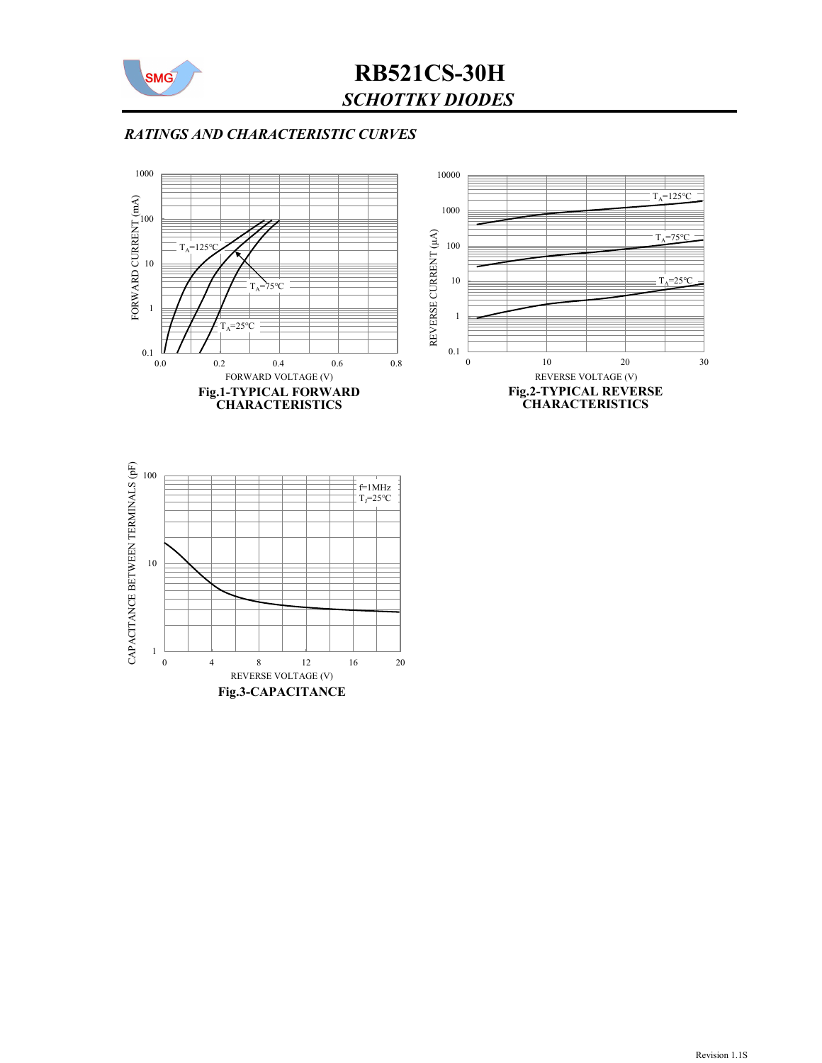

### RATINGS AND CHARACTERISTIC CURVES



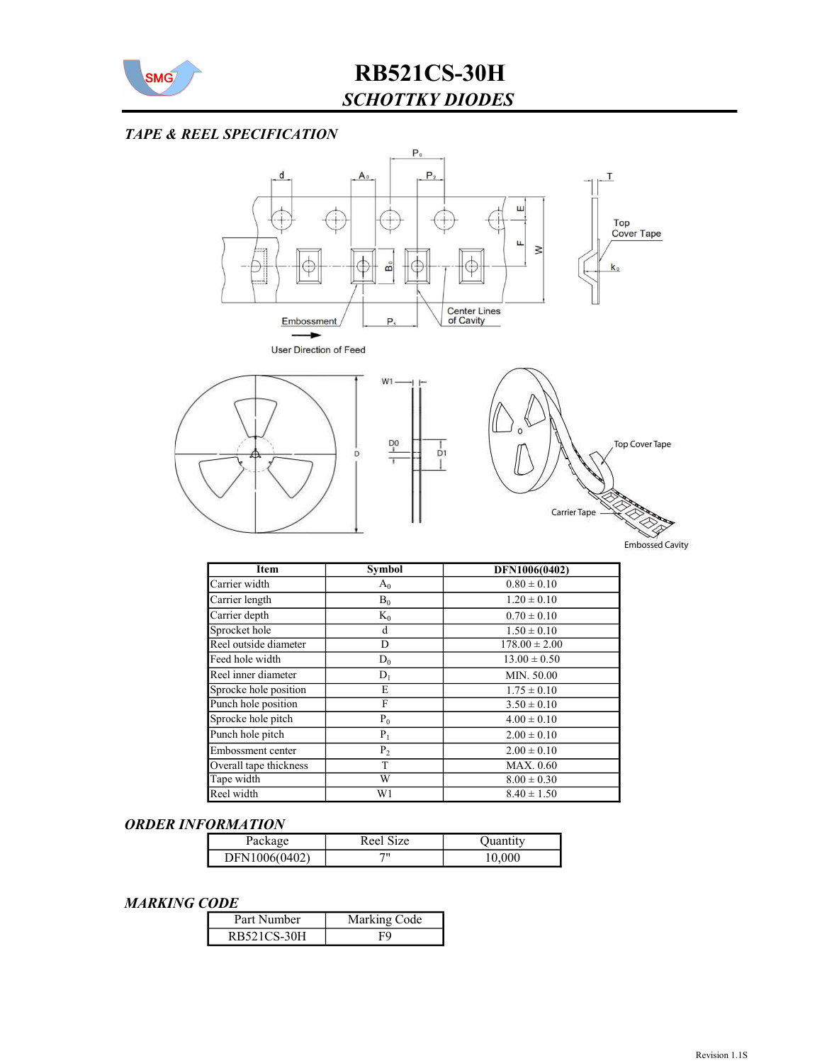

#### TAPE & REEL SPECIFICATION



 $\frac{1}{D1}$ 

T





**Embossed Cavity** 

| Item                   | <b>Symbol</b>  | DFN1006(0402)     |
|------------------------|----------------|-------------------|
| Carrier width          | $A_0$          | $0.80 \pm 0.10$   |
| Carrier length         | $B_0$          | $1.20 \pm 0.10$   |
| Carrier depth          | $K_0$          | $0.70 \pm 0.10$   |
| Sprocket hole          | d              | $1.50 \pm 0.10$   |
| Reel outside diameter  | D              | $178.00 \pm 2.00$ |
| Feed hole width        | $D_0$          | $13.00 \pm 0.50$  |
| Reel inner diameter    | $D_1$          | MIN. 50.00        |
| Sprocke hole position  | E              | $1.75 \pm 0.10$   |
| Punch hole position    | F              | $3.50 \pm 0.10$   |
| Sprocke hole pitch     | $P_0$          | $4.00 \pm 0.10$   |
| Punch hole pitch       | $P_1$          | $2.00 \pm 0.10$   |
| Embossment center      | P <sub>2</sub> | $2.00 \pm 0.10$   |
| Overall tape thickness | T              | MAX. 0.60         |
| Tape width             | W              | $8.00 \pm 0.30$   |
| Reel width             | W1             | $8.40 \pm 1.50$   |

#### ORDER INFORMATION

| Package       | Reel Size | Ouantitv |
|---------------|-----------|----------|
| DFN1006(0402) | 711       | 10,000   |

#### MARKING CODE

| Part Number | Marking Code |
|-------------|--------------|
| RB521CS-30H |              |